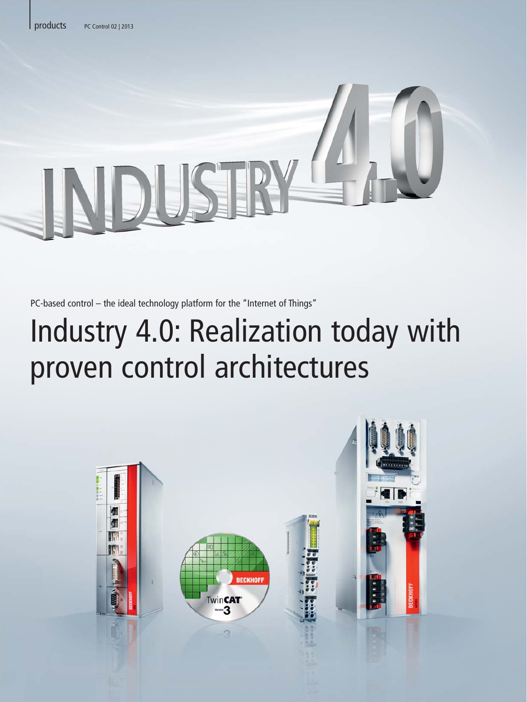PC-based control – the ideal technology platform for the "Internet of Things"

# Industry 4.0: Realization today with proven control architectures

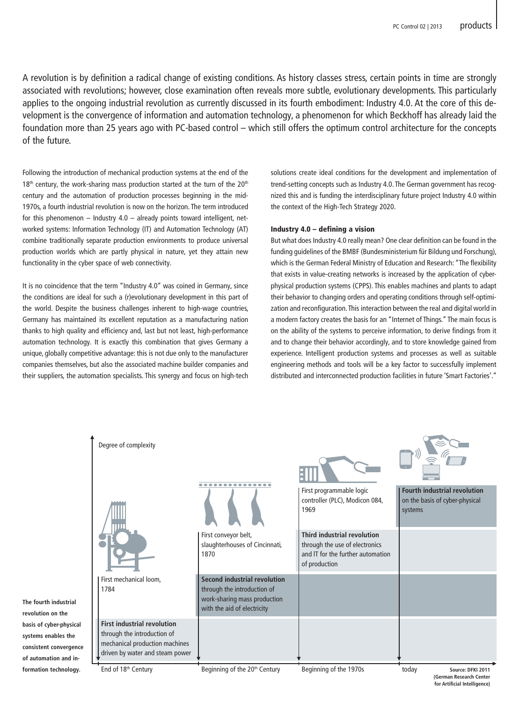A revolution is by definition a radical change of existing conditions. As history classes stress, certain points in time are strongly associated with revolutions; however, close examination often reveals more subtle, evolutionary developments. This particularly applies to the ongoing industrial revolution as currently discussed in its fourth embodiment: Industry 4.0. At the core of this development is the convergence of information and automation technology, a phenomenon for which Beckhoff has already laid the foundation more than 25 years ago with PC-based control – which still offers the optimum control architecture for the concepts of the future.

Following the introduction of mechanical production systems at the end of the 18<sup>th</sup> century, the work-sharing mass production started at the turn of the 20<sup>th</sup> century and the automation of production processes beginning in the mid-1970s, a fourth industrial revolution is now on the horizon. The term introduced for this phenomenon – Industry  $4.0$  – already points toward intelligent, networked systems: Information Technology (IT) and Automation Technology (AT) combine traditionally separate production environments to produce universal production worlds which are partly physical in nature, yet they attain new functionality in the cyber space of web connectivity.

It is no coincidence that the term "Industry 4.0" was coined in Germany, since the conditions are ideal for such a (r)evolutionary development in this part of the world. Despite the business challenges inherent to high-wage countries, Germany has maintained its excellent reputation as a manufacturing nation thanks to high quality and efficiency and, last but not least, high-performance automation technology. It is exactly this combination that gives Germany a unique, globally competitive advantage: this is not due only to the manufacturer companies themselves, but also the associated machine builder companies and their suppliers, the automation specialists. This synergy and focus on high-tech solutions create ideal conditions for the development and implementation of trend-setting concepts such as Industry 4.0. The German government has recognized this and is funding the interdisciplinary future project Industry 4.0 within the context of the High-Tech Strategy 2020.

#### Industry 4.0 – defining a vision

But what does Industry 4.0 really mean? One clear definition can be found in the funding guidelines of the BMBF (Bundesministerium für Bildung und Forschung), which is the German Federal Ministry of Education and Research: "The flexibility that exists in value-creating networks is increased by the application of cyberphysical production systems (CPPS). This enables machines and plants to adapt their behavior to changing orders and operating conditions through self-optimization and reconfiguration. This interaction between the real and digital world in a modern factory creates the basis for an "Internet of Things." The main focus is on the ability of the systems to perceive information, to derive findings from it and to change their behavior accordingly, and to store knowledge gained from experience. Intelligent production systems and processes as well as suitable engineering methods and tools will be a key factor to successfully implement distributed and interconnected production facilities in future 'Smart Factories'."



**consistent convergence of automation and information technology.**

**revolution on the**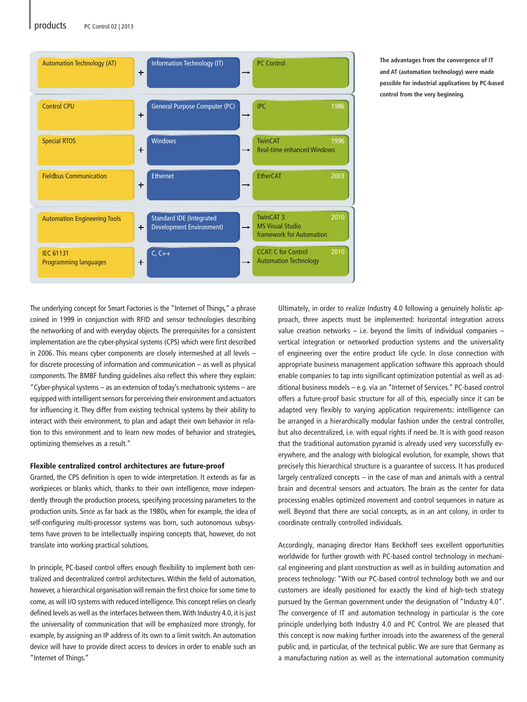#### products PC Control 02 | 2013



**The advantages from the convergence of IT and AT (automation technology) were made possible for industrial applications by PC-based control from the very beginning.**

The underlying concept for Smart Factories is the "Internet of Things," a phrase coined in 1999 in conjunction with RFID and sensor technologies describing the networking of and with everyday objects. The prerequisites for a consistent implementation are the cyber-physical systems (CPS) which were first described in 2006. This means cyber components are closely intermeshed at all levels – for discrete processing of information and communication – as well as physical components. The BMBF funding guidelines also reflect this where they explain: "Cyber-physical systems – as an extension of today's mechatronic systems – are equipped with intelligent sensors for perceiving their environment and actuators for influencing it. They differ from existing technical systems by their ability to interact with their environment, to plan and adapt their own behavior in relation to this environment and to learn new modes of behavior and strategies, optimizing themselves as a result."

#### Flexible centralized control architectures are future-proof

Granted, the CPS definition is open to wide interpretation. It extends as far as workpieces or blanks which, thanks to their own intelligence, move independently through the production process, specifying processing parameters to the production units. Since as far back as the 1980s, when for example, the idea of self-configuring multi-processor systems was born, such autonomous subsystems have proven to be intellectually inspiring concepts that, however, do not translate into working practical solutions.

In principle, PC-based control offers enough flexibility to implement both centralized and decentralized control architectures. Within the field of automation, however, a hierarchical organisation will remain the first choice for some time to come, as will I/O systems with reduced intelligence. This concept relies on clearly defined levels as well as the interfaces between them. With Industry 4.0, it is just the universality of communication that will be emphasized more strongly, for example, by assigning an IP address of its own to a limit switch. An automation device will have to provide direct access to devices in order to enable such an "Internet of Things."

Ultimately, in order to realize Industry 4.0 following a genuinely holistic approach, three aspects must be implemented: horizontal integration across value creation networks  $-$  i.e. beyond the limits of individual companies  $$ vertical integration or networked production systems and the universality of engineering over the entire product life cycle. In close connection with appropriate business management application software this approach should enable companies to tap into significant optimization potential as well as additional business models – e.g. via an "Internet of Services." PC-based control offers a future-proof basic structure for all of this, especially since it can be adapted very flexibly to varying application requirements: intelligence can be arranged in a hierarchically modular fashion under the central controller, but also decentralized, i.e. with equal rights if need be. It is with good reason that the traditional automation pyramid is already used very successfully everywhere, and the analogy with biological evolution, for example, shows that precisely this hierarchical structure is a guarantee of success. It has produced largely centralized concepts – in the case of man and animals with a central brain and decentral sensors and actuators. The brain as the center for data processing enables optimized movement and control sequences in nature as well. Beyond that there are social concepts, as in an ant colony, in order to coordinate centrally controlled individuals.

Accordingly, managing director Hans Beckhoff sees excellent opportunities worldwide for further growth with PC-based control technology in mechanical engineering and plant construction as well as in building automation and process technology: "With our PC-based control technology both we and our customers are ideally positioned for exactly the kind of high-tech strategy pursued by the German government under the designation of "Industry 4.0". The convergence of IT and automation technology in particular is the core principle underlying both Industry 4.0 and PC Control. We are pleased that this concept is now making further inroads into the awareness of the general public and, in particular, of the technical public. We are sure that Germany as a manufacturing nation as well as the international automation community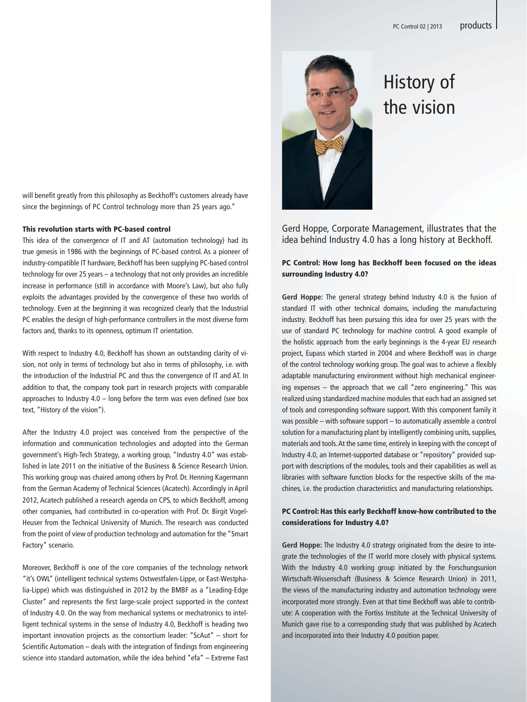will benefit greatly from this philosophy as Beckhoff's customers already have since the beginnings of PC Control technology more than 25 years ago."

#### This revolution starts with PC-based control

This idea of the convergence of IT and AT (automation technology) had its true genesis in 1986 with the beginnings of PC-based control. As a pioneer of industry-compatible IT hardware, Beckhoff has been supplying PC-based control technology for over 25 years – a technology that not only provides an incredible increase in performance (still in accordance with Moore's Law), but also fully exploits the advantages provided by the convergence of these two worlds of technology. Even at the beginning it was recognized clearly that the Industrial PC enables the design of high-performance controllers in the most diverse form factors and, thanks to its openness, optimum IT orientation.

With respect to Industry 4.0, Beckhoff has shown an outstanding clarity of vision, not only in terms of technology but also in terms of philosophy, i.e. with the introduction of the Industrial PC and thus the convergence of IT and AT. In addition to that, the company took part in research projects with comparable approaches to Industry 4.0 – long before the term was even defined (see box text, "History of the vision").

After the Industry 4.0 project was conceived from the perspective of the information and communication technologies and adopted into the German government's High-Tech Strategy, a working group, "Industry 4.0" was established in late 2011 on the initiative of the Business & Science Research Union. This working group was chaired among others by Prof. Dr. Henning Kagermann from the German Academy of Technical Sciences (Acatech). Accordingly in April 2012, Acatech published a research agenda on CPS, to which Beckhoff, among other companies, had contributed in co-operation with Prof. Dr. Birgit Vogel-Heuser from the Technical University of Munich. The research was conducted from the point of view of production technology and automation for the "Smart Factory" scenario.

Moreover, Beckhoff is one of the core companies of the technology network "it's OWL" (intelligent technical systems Ostwestfalen-Lippe, or East-Westphalia-Lippe) which was distinguished in 2012 by the BMBF as a "Leading-Edge Cluster" and represents the first large-scale project supported in the context of Industry 4.0. On the way from mechanical systems or mechatronics to intelligent technical systems in the sense of Industry 4.0, Beckhoff is heading two important innovation projects as the consortium leader: "ScAut" – short for Scientific Automation – deals with the integration of findings from engineering science into standard automation, while the idea behind "efa" – Extreme Fast



## History of the vision

Gerd Hoppe, Corporate Management, illustrates that the idea behind Industry 4.0 has a long history at Beckhoff.

### PC Control: How long has Beckhoff been focused on the ideas surrounding Industry 4.0?

**Gerd Hoppe:** The general strategy behind Industry 4.0 is the fusion of standard IT with other technical domains, including the manufacturing industry. Beckhoff has been pursuing this idea for over 25 years with the use of standard PC technology for machine control. A good example of the holistic approach from the early beginnings is the 4-year EU research project, Eupass which started in 2004 and where Beckhoff was in charge of the control technology working group. The goal was to achieve a flexibly adaptable manufacturing environment without high mechanical engineering expenses – the approach that we call "zero engineering." This was realized using standardized machine modules that each had an assigned set of tools and corresponding software support. With this component family it was possible – with software support – to automatically assemble a control solution for a manufacturing plant by intelligently combining units, supplies, materials and tools. At the same time, entirely in keeping with the concept of Industry 4.0, an Internet-supported database or "repository" provided support with descriptions of the modules, tools and their capabilities as well as libraries with software function blocks for the respective skills of the machines, i.e. the production characteristics and manufacturing relationships.

#### PC Control: Has this early Beckhoff know-how contributed to the considerations for Industry 4.0?

**Gerd Hoppe:** The Industry 4.0 strategy originated from the desire to integrate the technologies of the IT world more closely with physical systems. With the Industry 4.0 working group initiated by the Forschungsunion Wirtschaft-Wissenschaft (Business & Science Research Union) in 2011, the views of the manufacturing industry and automation technology were incorporated more strongly. Even at that time Beckhoff was able to contribute: A cooperation with the Fortiss Institute at the Technical University of Munich gave rise to a corresponding study that was published by Acatech and incorporated into their Industry 4.0 position paper.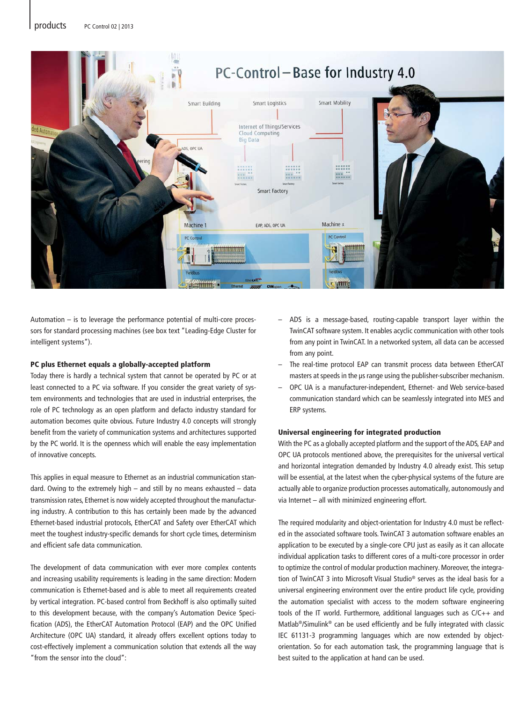

Automation – is to leverage the performance potential of multi-core processors for standard processing machines (see box text "Leading-Edge Cluster for intelligent systems").

#### PC plus Ethernet equals a globally-accepted platform

Today there is hardly a technical system that cannot be operated by PC or at least connected to a PC via software. If you consider the great variety of system environments and technologies that are used in industrial enterprises, the role of PC technology as an open platform and defacto industry standard for automation becomes quite obvious. Future Industry 4.0 concepts will strongly benefit from the variety of communication systems and architectures supported by the PC world. It is the openness which will enable the easy implementation of innovative concepts.

This applies in equal measure to Ethernet as an industrial communication standard. Owing to the extremely high – and still by no means exhausted – data transmission rates, Ethernet is now widely accepted throughout the manufacturing industry. A contribution to this has certainly been made by the advanced Ethernet-based industrial protocols, EtherCAT and Safety over EtherCAT which meet the toughest industry-specific demands for short cycle times, determinism and efficient safe data communication.

The development of data communication with ever more complex contents and increasing usability requirements is leading in the same direction: Modern communication is Ethernet-based and is able to meet all requirements created by vertical integration. PC-based control from Beckhoff is also optimally suited to this development because, with the company's Automation Device Specification (ADS), the EtherCAT Automation Protocol (EAP) and the OPC Unified Architecture (OPC UA) standard, it already offers excellent options today to cost-effectively implement a communication solution that extends all the way "from the sensor into the cloud":

- ADS is a message-based, routing-capable transport layer within the TwinCAT software system. It enables acyclic communication with other tools from any point in TwinCAT. In a networked system, all data can be accessed from any point.
- The real-time protocol EAP can transmit process data between EtherCAT masters at speeds in the μs range using the publisher-subscriber mechanism.
- OPC UA is a manufacturer-independent, Ethernet- and Web service-based communication standard which can be seamlessly integrated into MES and ERP systems.

#### Universal engineering for integrated production

With the PC as a globally accepted platform and the support of the ADS, EAP and OPC UA protocols mentioned above, the prerequisites for the universal vertical and horizontal integration demanded by Industry 4.0 already exist. This setup will be essential, at the latest when the cyber-physical systems of the future are actually able to organize production processes automatically, autonomously and via Internet – all with minimized engineering effort.

The required modularity and object-orientation for Industry 4.0 must be reflected in the associated software tools. TwinCAT 3 automation software enables an application to be executed by a single-core CPU just as easily as it can allocate individual application tasks to different cores of a multi-core processor in order to optimize the control of modular production machinery. Moreover, the integration of TwinCAT 3 into Microsoft Visual Studio® serves as the ideal basis for a universal engineering environment over the entire product life cycle, providing the automation specialist with access to the modern software engineering tools of the IT world. Furthermore, additional languages such as C/C++ and Matlab®/Simulink® can be used efficiently and be fully integrated with classic IEC 61131-3 programming languages which are now extended by objectorientation. So for each automation task, the programming language that is best suited to the application at hand can be used.